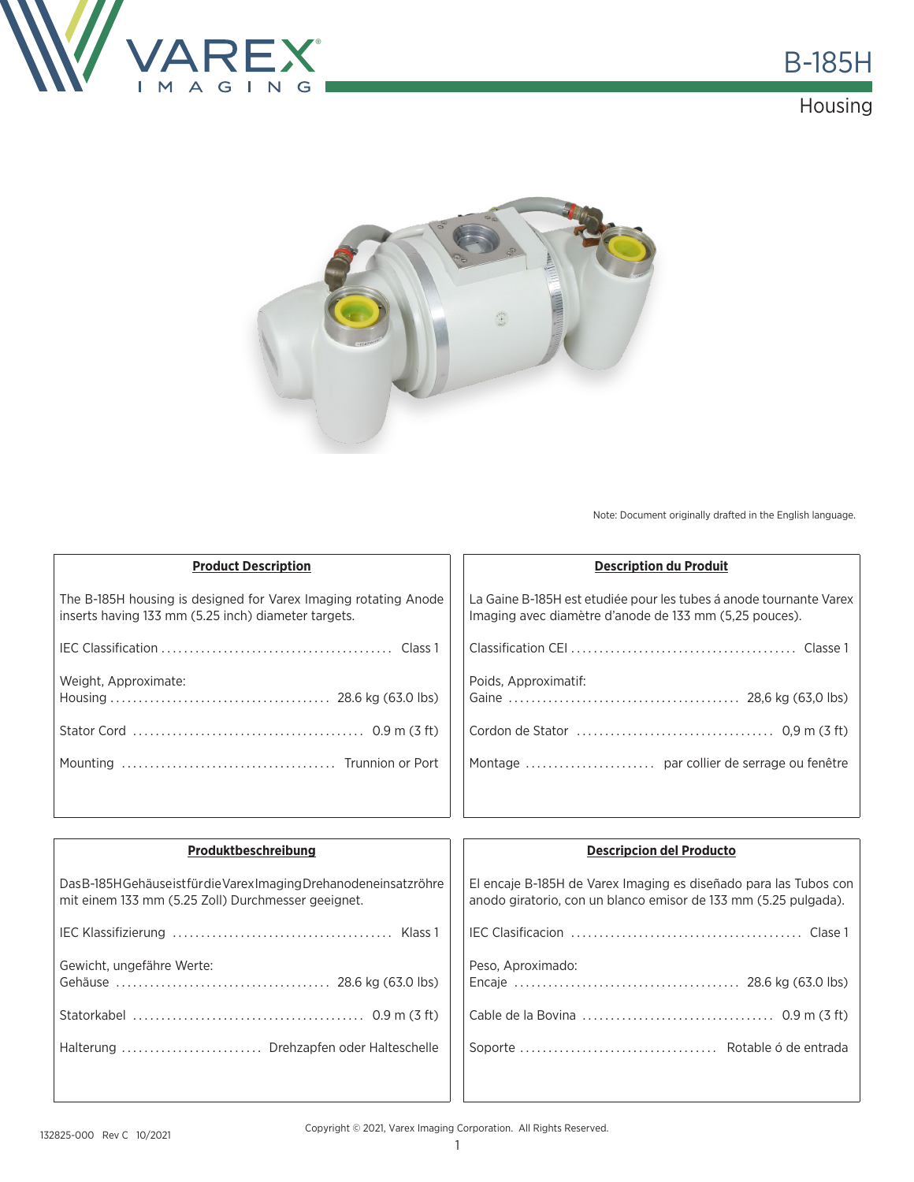





Note: Document originally drafted in the English language.

| <b>Product Description</b>                                                                                             | <b>Description du Produit</b>                                                                                                |
|------------------------------------------------------------------------------------------------------------------------|------------------------------------------------------------------------------------------------------------------------------|
| The B-185H housing is designed for Varex Imaging rotating Anode<br>inserts having 133 mm (5.25 inch) diameter targets. | La Gaine B-185H est etudiée pour les tubes à anode tournante Varex<br>Imaging avec diamètre d'anode de 133 mm (5,25 pouces). |
|                                                                                                                        |                                                                                                                              |
| Weight, Approximate:                                                                                                   | Poids, Approximatif:                                                                                                         |
|                                                                                                                        |                                                                                                                              |
|                                                                                                                        |                                                                                                                              |
|                                                                                                                        |                                                                                                                              |

| Produktbeschreibung                                                                                                        | <b>Descripcion del Producto</b>                                                                                                     |
|----------------------------------------------------------------------------------------------------------------------------|-------------------------------------------------------------------------------------------------------------------------------------|
| Das B-185H Gehäuse ist für die Varex Imaging Drehanodeneinsatz röhre<br>mit einem 133 mm (5.25 Zoll) Durchmesser geeignet. | El encaje B-185H de Varex Imaging es diseñado para las Tubos con<br>anodo giratorio, con un blanco emisor de 133 mm (5.25 pulgada). |
|                                                                                                                            |                                                                                                                                     |
| Gewicht, ungefähre Werte:                                                                                                  | Peso, Aproximado:                                                                                                                   |
|                                                                                                                            |                                                                                                                                     |
| Halterung  Drehzapfen oder Halteschelle                                                                                    |                                                                                                                                     |
|                                                                                                                            |                                                                                                                                     |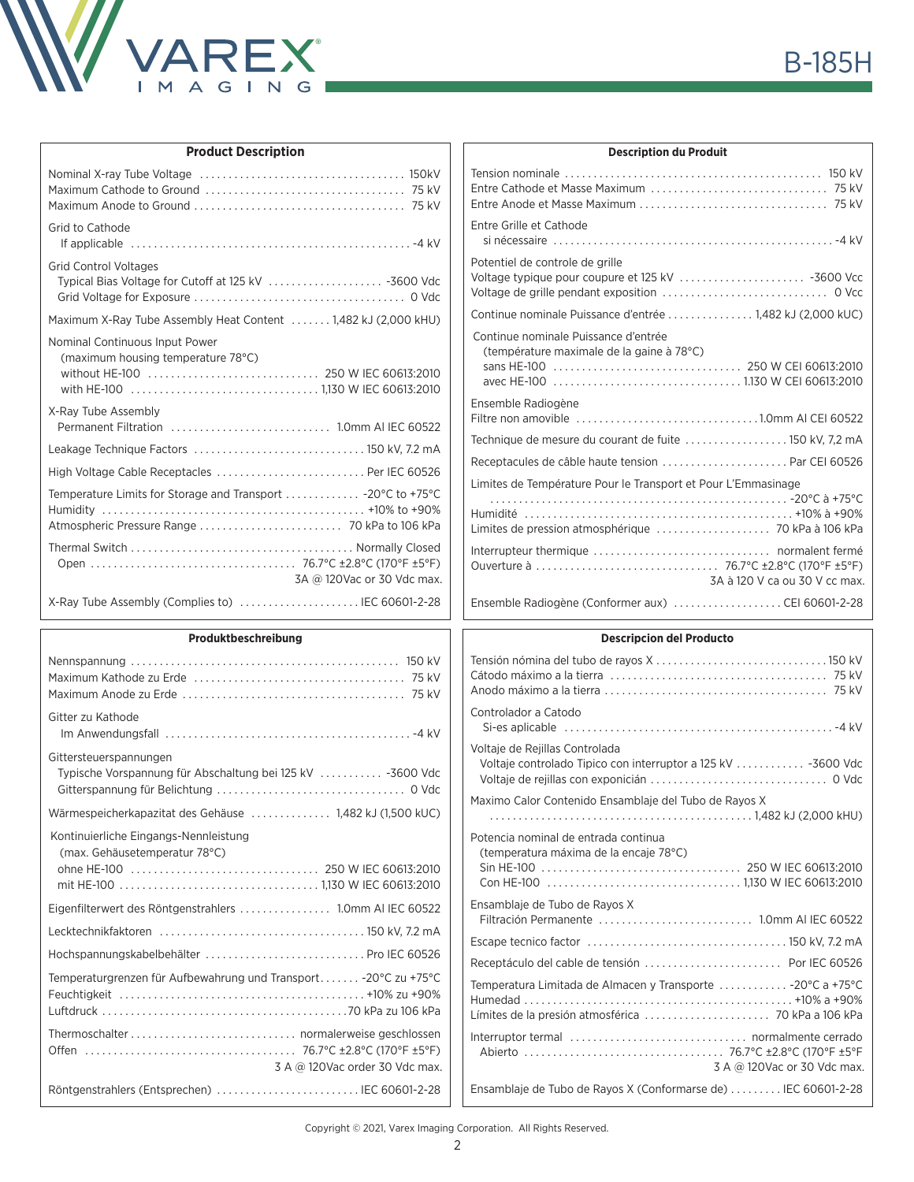

| <b>Product Description</b>                                           |  |  |  |
|----------------------------------------------------------------------|--|--|--|
|                                                                      |  |  |  |
| Grid to Cathode                                                      |  |  |  |
| <b>Grid Control Voltages</b>                                         |  |  |  |
| Maximum X-Ray Tube Assembly Heat Content  1,482 kJ (2,000 kHU)       |  |  |  |
| Nominal Continuous Input Power<br>(maximum housing temperature 78°C) |  |  |  |
| X-Ray Tube Assembly                                                  |  |  |  |
|                                                                      |  |  |  |
| High Voltage Cable Receptacles  Per IEC 60526                        |  |  |  |
| Temperature Limits for Storage and Transport  -20°C to +75°C         |  |  |  |
| 3A @ 120Vac or 30 Vdc max.                                           |  |  |  |
| X-Ray Tube Assembly (Complies to)  IEC 60601-2-28                    |  |  |  |

## **Produktbeschreibung**

| Gitter zu Kathode                                                                    |
|--------------------------------------------------------------------------------------|
| Gittersteuerspannungen<br>Typische Vorspannung für Abschaltung bei 125 kV  -3600 Vdc |
| Wärmespeicherkapazitat des Gehäuse  1,482 kJ (1,500 kUC)                             |
| Kontinuierliche Eingangs-Nennleistung<br>(max. Gehäusetemperatur 78°C)               |
| Eigenfilterwert des Röntgenstrahlers  1.0mm AI IEC 60522                             |
|                                                                                      |
| Hochspannungskabelbehälter  Pro IEC 60526                                            |
| Temperaturgrenzen für Aufbewahrung und Transport -20°C zu +75°C                      |
| 3 A @ 120Vac order 30 Vdc max.                                                       |
| Röntgenstrahlers (Entsprechen)  IEC 60601-2-28                                       |
|                                                                                      |

| <b>Description du Produit</b>                                                     |  |  |  |
|-----------------------------------------------------------------------------------|--|--|--|
|                                                                                   |  |  |  |
| Entre Grille et Cathode                                                           |  |  |  |
| Potentiel de controle de grille                                                   |  |  |  |
| Continue nominale Puissance d'entrée 1,482 kJ (2,000 kUC)                         |  |  |  |
| Continue nominale Puissance d'entrée<br>(température maximale de la gaine à 78°C) |  |  |  |
| Ensemble Radiogène                                                                |  |  |  |
|                                                                                   |  |  |  |
| Receptacules de câble haute tension  Par CEI 60526                                |  |  |  |
| Limites de Température Pour le Transport et Pour L'Emmasinage                     |  |  |  |
| 3A à 120 V ca ou 30 V cc max.                                                     |  |  |  |
| Ensemble Radiogène (Conformer aux) CEI 60601-2-28                                 |  |  |  |
| Descripcion del Droducto                                                          |  |  |  |

## **Descripcion del Producto**

| Controlador a Catodo                                                           |
|--------------------------------------------------------------------------------|
| Voltaje de Rejillas Controlada                                                 |
| Maximo Calor Contenido Ensamblaje del Tubo de Rayos X                          |
| Potencia nominal de entrada continua<br>(temperatura máxima de la encaje 78°C) |
| Ensamblaje de Tubo de Rayos X<br>Filtración Permanente  1.0mm AI IEC 60522     |
|                                                                                |
|                                                                                |
| Temperatura Limitada de Almacen y Transporte  -20°C a +75°C                    |
| 3 A @ 120Vac or 30 Vdc max.                                                    |
| Ensamblaje de Tubo de Rayos X (Conformarse de)  IEC 60601-2-28                 |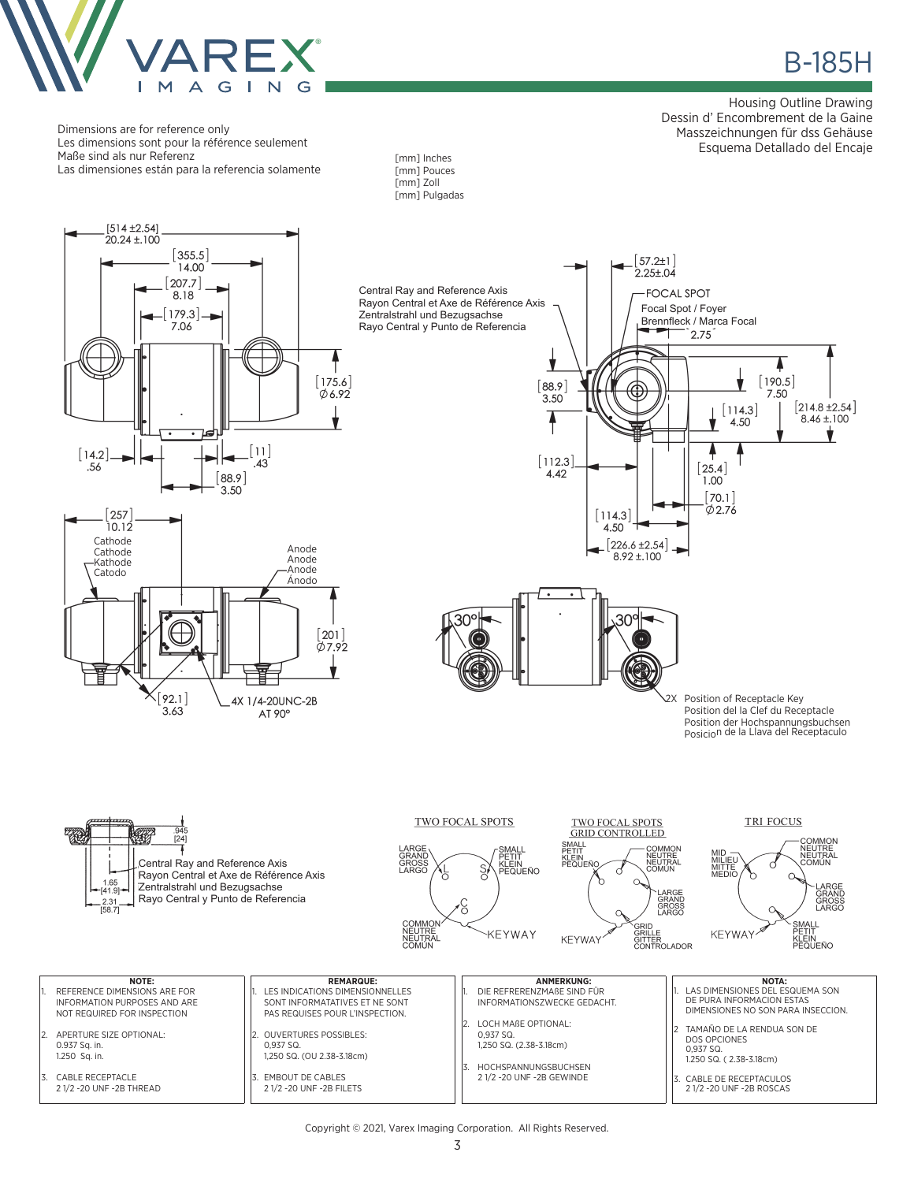

в в нашей в село в водом в водом в нашей в нашей в нашей в нашей в нашей в нашей в нашей в нашей в нашей в наш<br>В 185Н в нашей в нашей в нашей в нашей в нашей в нашей в нашей в нашей в нашей в нашей в нашей в нашей в нашей

Housing Outline Drawing Dessin d' Encombrement de la Gaine Masszeichnungen für dss Gehäuse Esquema Detallado del Encaje

Dimensions are for reference only Les dimensions sont pour la référence seulement Maße sind als nur Referenz Las dimensiones están para la referencia solamente





Anode Anode Anode Ánodo

4X 1/4-20UNC-2B

AT 90°

 $\lceil 201 \rceil$ Ø7.92

Cathode **Cathode** Kathode Catodo

 $[257]$ 

10.12

 $[92.1]$ 

 $3.63$ 

 $[57.2 \pm 1]$  $2.25 \pm .04$ Central Ray and Reference Axis **FOCAL SPOT** Rayon Central et Axe de Référence Axis Focal Spot / Foyer Zentralstrahl und Bezugsachse Brennfleck / Marca Focal Rayo Central y Punto de Referencia V 4  $[190.5]$  $[88.9]$ 7.50 3.50  $[214.8 \pm 2.54]$  $[114.3]$  $8.46 \pm 100$ 4.50  $\left[112.3\right]$  $[25.4]$ 4.42 1.00  $70.1$  $\phi$ 2.76  $[114.3]$ 4.50  $[226.6 \pm 2.54]$   $\rightarrow$  $8.92 \pm 100$  $30<sup>°</sup>$ 2X Position of Receptacle Key Position del la Clef du Receptacle Position der Hochspannungsbuchsen Posicion de la Llava del Receptaculo



30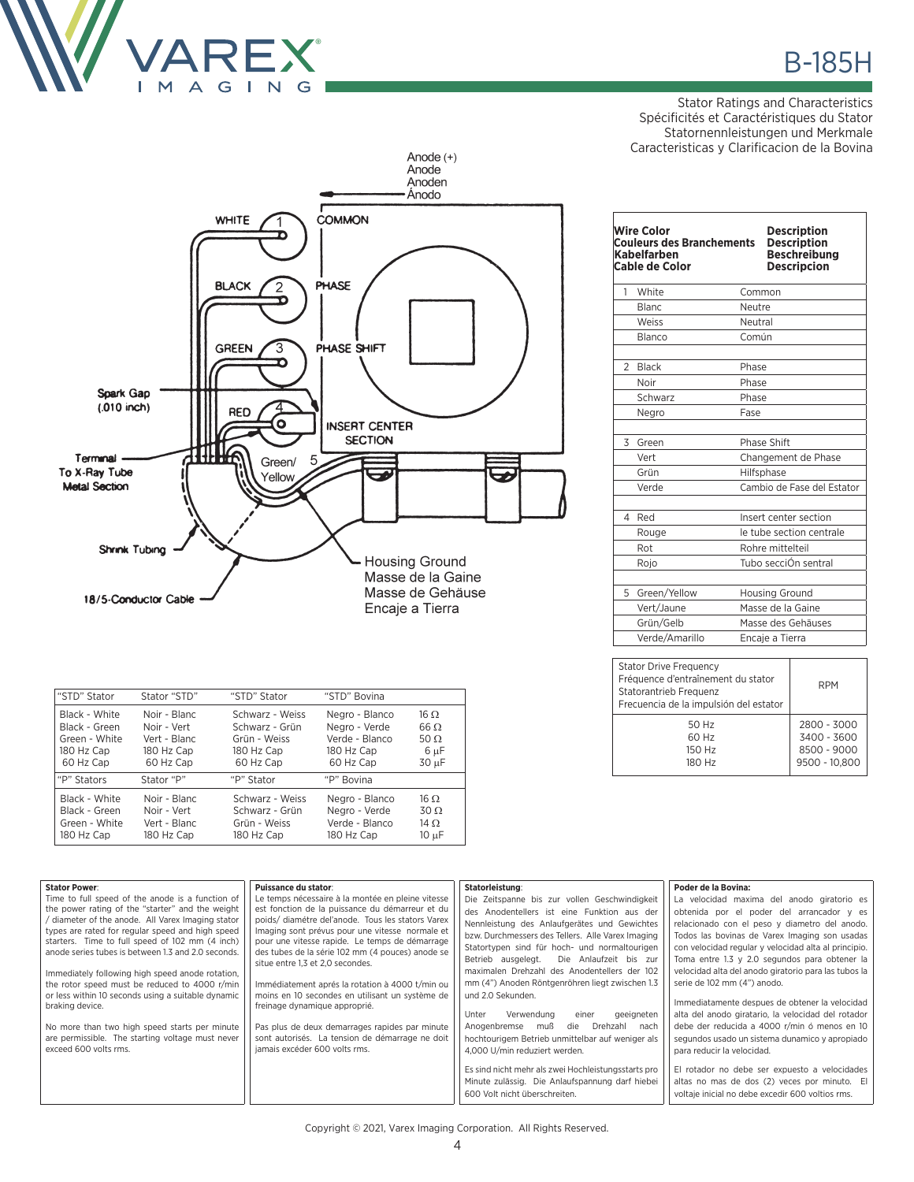

Stator Ratings and Characteristics Spécificités et Caractéristiques du Stator Statornennleistungen und Merkmale Caracteristicas y Clarificacion de la Bovina



| "STD" Stator  | Stator "STD" | "STD" Stator    | "STD" Bovina   |                 |
|---------------|--------------|-----------------|----------------|-----------------|
| Black - White | Noir - Blanc | Schwarz - Weiss | Negro - Blanco | $16 \Omega$     |
| Black - Green | Noir - Vert  | Schwarz - Grün  | Negro - Verde  | $66 \Omega$     |
| Green - White | Vert - Blanc | Grün - Weiss    | Verde - Blanco | 50 $\Omega$     |
| 180 Hz Cap    | 180 Hz Cap   | 180 Hz Cap      | 180 Hz Cap     | 6 µF            |
| 60 Hz Cap     | 60 Hz Cap    | 60 Hz Cap       | 60 Hz Cap      | 30 µF           |
| "P" Stators   | Stator "P"   | "P" Stator      | "P" Bovina     |                 |
| Black - White | Noir - Blanc | Schwarz - Weiss | Negro - Blanco | 16 <sub>O</sub> |
| Black - Green | Noir - Vert  | Schwarz - Grün  | Negro - Verde  | $30 \Omega$     |
| Green - White | Vert - Blanc | Grün - Weiss    | Verde - Blanco | $14 \Omega$     |
| 180 Hz Cap    | 180 Hz Cap   | 180 Hz Cap      | 180 Hz Cap     | 10 µF           |

|                | <b>Wire Color</b><br><b>Couleurs des Branchements</b><br>Kabelfarben<br><b>Cable de Color</b> | <b>Description</b><br><b>Description</b><br><b>Beschreibung</b><br><b>Descripcion</b> |  |
|----------------|-----------------------------------------------------------------------------------------------|---------------------------------------------------------------------------------------|--|
| 1              | White                                                                                         | Common                                                                                |  |
|                | <b>Blanc</b>                                                                                  | Neutre                                                                                |  |
|                | Weiss                                                                                         | Neutral                                                                               |  |
|                | Blanco                                                                                        | Común                                                                                 |  |
| $\overline{2}$ | <b>Black</b>                                                                                  | Phase                                                                                 |  |
|                | Noir                                                                                          | Phase                                                                                 |  |
|                | Schwarz                                                                                       | Phase                                                                                 |  |
|                | Negro                                                                                         | Fase                                                                                  |  |
| 3              | Green<br>Vert                                                                                 | Phase Shift                                                                           |  |
|                | Grün                                                                                          | Changement de Phase                                                                   |  |
|                | Verde                                                                                         | Hilfsphase<br>Cambio de Fase del Estator                                              |  |
|                |                                                                                               |                                                                                       |  |
| $\overline{4}$ | Red                                                                                           | Insert center section                                                                 |  |
|                | Rouge                                                                                         | le tube section centrale                                                              |  |
|                | Rot                                                                                           | Rohre mittelteil                                                                      |  |
|                | Rojo                                                                                          | Tubo secciÓn sentral                                                                  |  |
| 5              | Green/Yellow                                                                                  | <b>Housing Ground</b>                                                                 |  |
|                | Vert/Jaune                                                                                    | Masse de la Gaine                                                                     |  |
|                | Grün/Gelb                                                                                     | Masse des Gehäuses                                                                    |  |
|                | Verde/Amarillo                                                                                | Encaje a Tierra                                                                       |  |
|                |                                                                                               |                                                                                       |  |

| <b>Stator Drive Frequency</b><br>Fréquence d'entraînement du stator<br>Statorantrieb Frequenz<br>Frecuencia de la impulsión del estator | <b>RPM</b>    |  |
|-----------------------------------------------------------------------------------------------------------------------------------------|---------------|--|
| 50 Hz                                                                                                                                   | 2800 - 3000   |  |
| 60 Hz                                                                                                                                   | 3400 - 3600   |  |
| 150 Hz                                                                                                                                  | 8500 - 9000   |  |
| 180 Hz                                                                                                                                  | 9500 - 10.800 |  |

| <b>Stator Power:</b>                                                                                | Puissance du stator:                                                                              | Statorleistung:                                     | Poder de la Bovina:                                  |
|-----------------------------------------------------------------------------------------------------|---------------------------------------------------------------------------------------------------|-----------------------------------------------------|------------------------------------------------------|
| Time to full speed of the anode is a function of                                                    | Le temps nécessaire à la montée en pleine vitesse                                                 | Die Zeitspanne bis zur vollen Geschwindigkeit       | La velocidad maxima del anodo giratorio es           |
| the power rating of the "starter" and the weight                                                    | est fonction de la puissance du démarreur et du                                                   | des Anodentellers ist eine Funktion aus der         | obtenida por el poder del arrancador y es            |
| diameter of the anode. All Varex Imaging stator                                                     | poids/ diamétre del'anode. Tous les stators Varex                                                 | Nennleistung des Anlaufgerätes und Gewichtes        | relacionado con el peso y diametro del anodo.        |
| types are rated for regular speed and high speed<br>starters. Time to full speed of 102 mm (4 inch) | Imaging sont prévus pour une vitesse normale et<br>pour une vitesse rapide. Le temps de démarrage | bzw. Durchmessers des Tellers. Alle Varex Imaging   | Todos las bovinas de Varex Imaging son usadas        |
| anode series tubes is between 1.3 and 2.0 seconds.                                                  | des tubes de la série 102 mm (4 pouces) anode se                                                  | Statortypen sind für hoch- und normaltourigen       | con velocidad regular y velocidad alta al principio. |
|                                                                                                     | situe entre 1,3 et 2,0 secondes.                                                                  | Die Anlaufzeit bis zur<br>Betrieb ausgelegt.        | Toma entre 1.3 y 2.0 segundos para obtener la        |
| Immediately following high speed anode rotation,                                                    |                                                                                                   | maximalen Drehzahl des Anodentellers der 102        | velocidad alta del anodo giratorio para las tubos la |
| the rotor speed must be reduced to 4000 r/min                                                       | Immédiatement aprés la rotation à 4000 t/min ou                                                   | mm (4") Anoden Röntgenröhren liegt zwischen 1.3     | serie de 102 mm (4") anodo.                          |
| or less within 10 seconds using a suitable dynamic                                                  | moins en 10 secondes en utilisant un système de                                                   | und 2.0 Sekunden.                                   |                                                      |
| braking device.                                                                                     | freinage dynamique approprié.                                                                     |                                                     | Immediatamente despues de obtener la velocidad       |
|                                                                                                     |                                                                                                   | Unter<br>Verwendung<br>einer<br>geeigneten          | alta del anodo giratario, la velocidad del rotador   |
| No more than two high speed starts per minute                                                       | Pas plus de deux demarrages rapides par minute                                                    | Anogenbremse<br>Drehzahl<br>muß<br>die<br>nach      | debe der reducida a 4000 r/min ó menos en 10         |
| are permissible. The starting voltage must never<br>exceed 600 volts rms.                           | sont autorisés. La tension de démarrage ne doit<br>jamais excéder 600 volts rms.                  | hochtourigem Betrieb unmittelbar auf weniger als    | segundos usado un sistema dunamico y apropiado       |
|                                                                                                     |                                                                                                   | 4.000 U/min reduziert werden.                       | para reducir la velocidad.                           |
|                                                                                                     |                                                                                                   | Es sind nicht mehr als zwei Hochleistungsstarts pro | El rotador no debe ser expuesto a velocidades        |
|                                                                                                     |                                                                                                   | Minute zulässig. Die Anlaufspannung darf hiebei     | altas no mas de dos (2) veces por minuto. El         |
|                                                                                                     |                                                                                                   | 600 Volt nicht überschreiten.                       | voltaje inicial no debe excedir 600 voltios rms.     |
|                                                                                                     |                                                                                                   |                                                     |                                                      |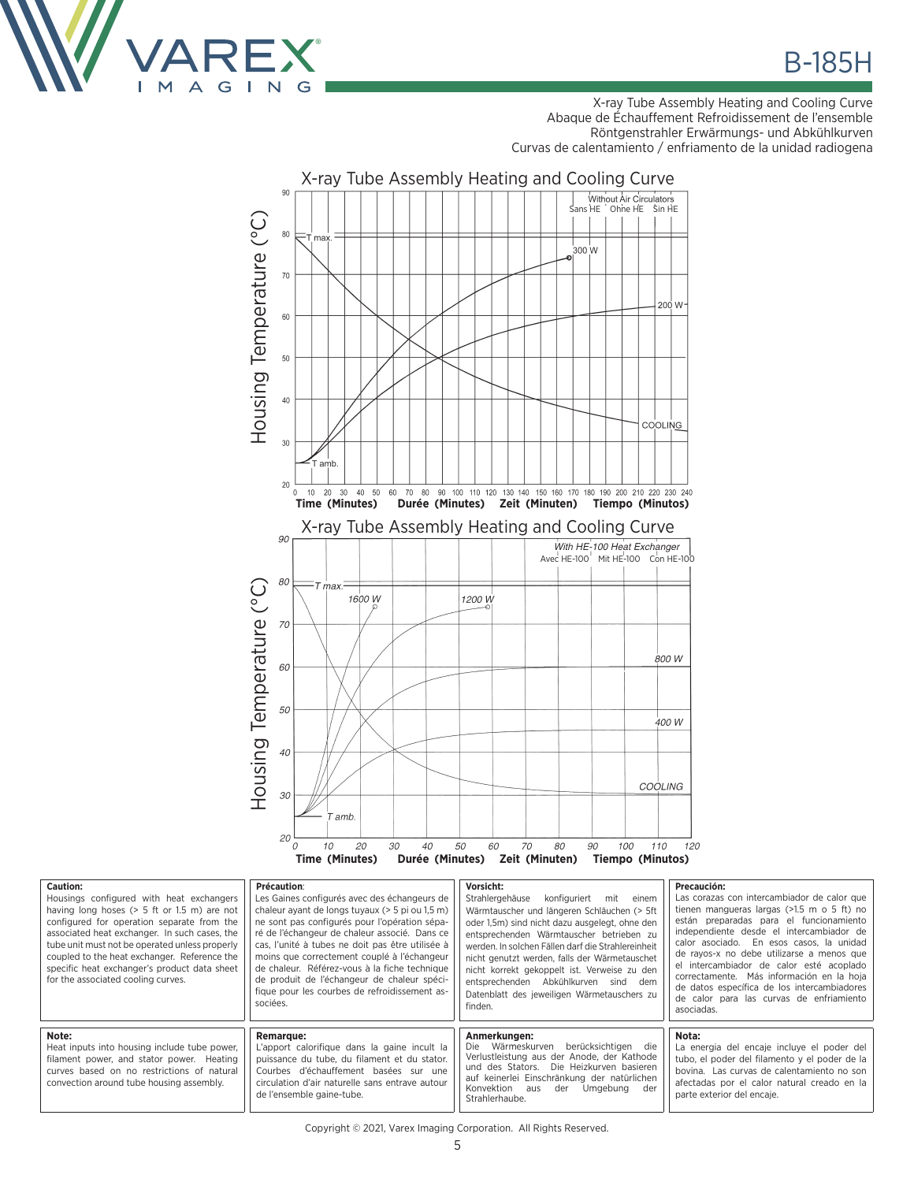

X-ray Tube Assembly Heating and Cooling Curve Abaque de Échauffement Refroidissement de l'ensemble Röntgenstrahler Erwärmungs- und Abkühlkurven Curvas de calentamiento / enfriamento de la unidad radiogena



| Caution:<br>Housings configured with heat exchangers<br>having long hoses $(> 5$ ft or 1.5 m) are not<br>configured for operation separate from the<br>associated heat exchanger. In such cases, the<br>tube unit must not be operated unless properly<br>coupled to the heat exchanger. Reference the<br>specific heat exchanger's product data sheet<br>for the associated cooling curves. | Précaution:<br>Les Gaines configurés avec des échangeurs de<br>chaleur ayant de longs tuyaux (> 5 pi ou 1,5 m)<br>ne sont pas configurés pour l'opération sépa-<br>ré de l'échangeur de chaleur associé. Dans ce<br>cas, l'unité à tubes ne doit pas être utilisée à<br>moins que correctement couplé à l'échangeur<br>de chaleur. Référez-vous à la fiche technique<br>de produit de l'échangeur de chaleur spéci-<br>fique pour les courbes de refroidissement as-<br>sociées. | Vorsicht:<br>Strahlergehäuse<br>konfiguriert<br>mit<br>einem<br>Wärmtauscher und längeren Schläuchen (> 5ft<br>oder 1.5m) sind nicht dazu ausgelegt, ohne den<br>entsprechenden Wärmtauscher betrieben zu<br>werden. In solchen Fällen darf die Strahlereinheit<br>nicht genutzt werden, falls der Wärmetauschet<br>nicht korrekt gekoppelt ist. Verweise zu den<br>entsprechenden Abkühlkurven sind dem<br>Datenblatt des jeweiligen Wärmetauschers zu<br>finden. | Precaución:<br>Las corazas con intercambiador de calor que<br>tienen mangueras largas $(>1.5$ m o 5 ft) no<br>están preparadas para el funcionamiento<br>independiente desde el intercambiador de<br>calor asociado. En esos casos, la unidad<br>de rayos-x no debe utilizarse a menos que<br>el intercambiador de calor esté acoplado<br>correctamente. Más información en la hoja<br>de datos específica de los intercambiadores<br>de calor para las curvas de enfriamiento<br>asociadas. |
|----------------------------------------------------------------------------------------------------------------------------------------------------------------------------------------------------------------------------------------------------------------------------------------------------------------------------------------------------------------------------------------------|----------------------------------------------------------------------------------------------------------------------------------------------------------------------------------------------------------------------------------------------------------------------------------------------------------------------------------------------------------------------------------------------------------------------------------------------------------------------------------|--------------------------------------------------------------------------------------------------------------------------------------------------------------------------------------------------------------------------------------------------------------------------------------------------------------------------------------------------------------------------------------------------------------------------------------------------------------------|----------------------------------------------------------------------------------------------------------------------------------------------------------------------------------------------------------------------------------------------------------------------------------------------------------------------------------------------------------------------------------------------------------------------------------------------------------------------------------------------|
| Note:<br>Heat inputs into housing include tube power,<br>filament power, and stator power. Heating<br>curves based on no restrictions of natural<br>convection around tube housing assembly.                                                                                                                                                                                                 | <b>Remarque:</b><br>apport calorifique dans la gaine incult la<br>puissance du tube, du filament et du stator.<br>Courbes d'échauffement basées sur une<br>circulation d'air naturelle sans entrave autour<br>de l'ensemble gaine-tube.                                                                                                                                                                                                                                          | Anmerkungen:<br>Die Wärmeskurven<br>berücksichtigen die<br>Verlustleistung aus der Anode, der Kathode<br>und des Stators. Die Heizkurven basieren<br>auf keinerlei Einschränkung der natürlichen<br>Konvektion<br>Umaebuna<br>der<br>der<br>aus<br>Strahlerhaube.                                                                                                                                                                                                  | Nota:<br>La energia del encaje incluye el poder del<br>tubo, el poder del filamento y el poder de la<br>bovina. Las curvas de calentamiento no son<br>afectadas por el calor natural creado en la<br>parte exterior del encaje.                                                                                                                                                                                                                                                              |

Copyright © 2021, Varex Imaging Corporation. All Rights Reserved.